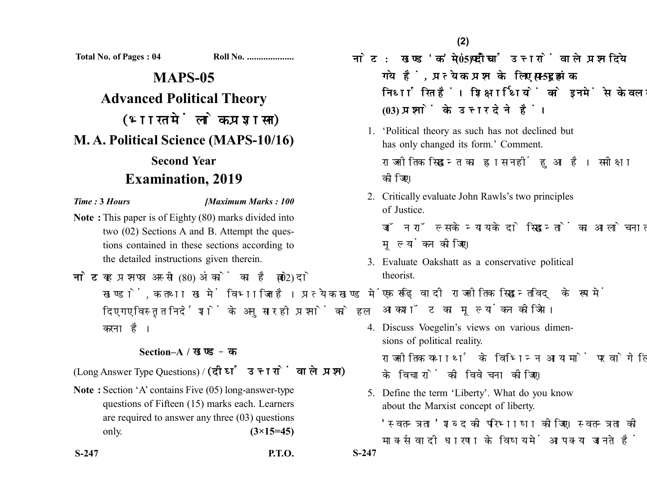**Total No. of Pages : 04 Roll No. ....................**

# **MAPS-05 Advanced Political Theory** (भारत में लोक प्रशासन) **M. A. Political Science (MAPS-10/16) Second Year Examination, 2019**

## *Time :* **3** *Hours [Maximum Marks : 100*

- **Note :** This paper is of Eighty (80) marks divided into two (02) Sections A and B. Attempt the questions contained in these sections according to the detailed instructions given therein.
- नोट: यह प्रश्नपत्र अस्सी (80) अंकों का है जो दो (02) खण्डों. क तथा ख में विभाजित है। प्रत्येक खण्ड में दिए गए विस्तृत निर्देशों के अनुसार ही प्रश्नों को हल करना है।

# **Section–A /**

(Long Answer Type Questions) / (दीर्घ उत्तरों वाले प्रश्न)

- **Note :** Section 'A' contains Five (05) long-answer-type questions of Fifteen (15) marks each. Learners are required to answer any three (03) questions only. **(3×15=45)**
- **S-247 P.T.O. S-247**

नोट: खण्ड'क' में पाँच (05) दीर्घ उत्तरों वाले प्रश्न दिये गये हैं, प्रत्येक प्रश्न के लिए पन्दुह (15) अंक निर्धारित हैं। शिक्षार्थियों को इनमें से केवल तीन **(03)** 

- 1. 'Political theory as such has not declined but has only changed its form.' Comment. राजनीतिक सिद्धान्त का ह्रास नहीं हुआ है। समीक्षा कोजिए।
- 2. Critically evaluate John Rawls's two principles of Justice.

जॉन रॉल्स के न्याय के दो सिद्धान्तों का आलोचनात्मक मल्यांकन कीजिए।

3. Evaluate Oakshatt as a conservative political theorist.

एक रूढ़िवादी राजनीतिक सिद्धान्तविद् के रूप में आकशॉट का मल्यांकन कीजिये।

- 4. Discuss Voegelin's views on various dimensions of political reality. राजनीतिक यथार्थ के विभिन्न आयामों पर वोगेलिन के विचारों की विवेचना कोजिए।
- 5. Define the term 'Liberty'. What do you know about the Marxist concept of liberty.

'स्वतन्त्रता' शब्द को परिभाषा कोजिए। स्वतन्त्रता को मार्क्सवादी धारणा के विषय में आप क्या जानते हैं ?